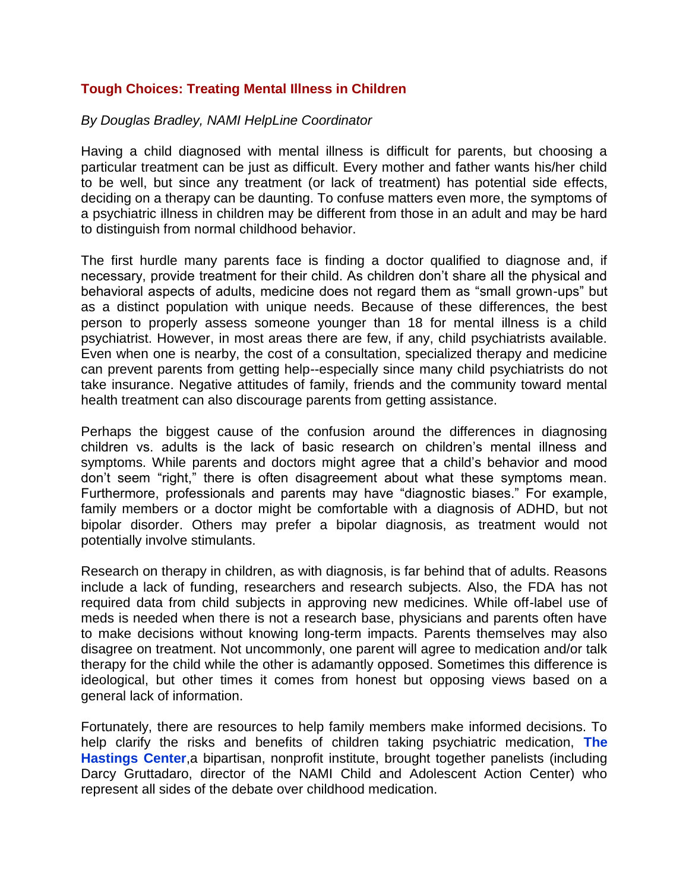## **Tough Choices: Treating Mental Illness in Children**

## *By Douglas Bradley, NAMI HelpLine Coordinator*

Having a child diagnosed with mental illness is difficult for parents, but choosing a particular treatment can be just as difficult. Every mother and father wants his/her child to be well, but since any treatment (or lack of treatment) has potential side effects, deciding on a therapy can be daunting. To confuse matters even more, the symptoms of a psychiatric illness in children may be different from those in an adult and may be hard to distinguish from normal childhood behavior.

The first hurdle many parents face is finding a doctor qualified to diagnose and, if necessary, provide treatment for their child. As children don't share all the physical and behavioral aspects of adults, medicine does not regard them as "small grown-ups" but as a distinct population with unique needs. Because of these differences, the best person to properly assess someone younger than 18 for mental illness is a child psychiatrist. However, in most areas there are few, if any, child psychiatrists available. Even when one is nearby, the cost of a consultation, specialized therapy and medicine can prevent parents from getting help--especially since many child psychiatrists do not take insurance. Negative attitudes of family, friends and the community toward mental health treatment can also discourage parents from getting assistance.

Perhaps the biggest cause of the confusion around the differences in diagnosing children vs. adults is the lack of basic research on children's mental illness and symptoms. While parents and doctors might agree that a child's behavior and mood don't seem "right," there is often disagreement about what these symptoms mean. Furthermore, professionals and parents may have "diagnostic biases." For example, family members or a doctor might be comfortable with a diagnosis of ADHD, but not bipolar disorder. Others may prefer a bipolar diagnosis, as treatment would not potentially involve stimulants.

Research on therapy in children, as with diagnosis, is far behind that of adults. Reasons include a lack of funding, researchers and research subjects. Also, the FDA has not required data from child subjects in approving new medicines. While off-label use of meds is needed when there is not a research base, physicians and parents often have to make decisions without knowing long-term impacts. Parents themselves may also disagree on treatment. Not uncommonly, one parent will agree to medication and/or talk therapy for the child while the other is adamantly opposed. Sometimes this difference is ideological, but other times it comes from honest but opposing views based on a general lack of information.

Fortunately, there are resources to help family members make informed decisions. To help clarify the risks and benefits of children taking psychiatric medication, **[The](http://childpsychiatry.thehastingscenter.org/)  [Hastings Center](http://childpsychiatry.thehastingscenter.org/)**,a bipartisan, nonprofit institute, brought together panelists (including Darcy Gruttadaro, director of the NAMI Child and Adolescent Action Center) who represent all sides of the debate over childhood medication.